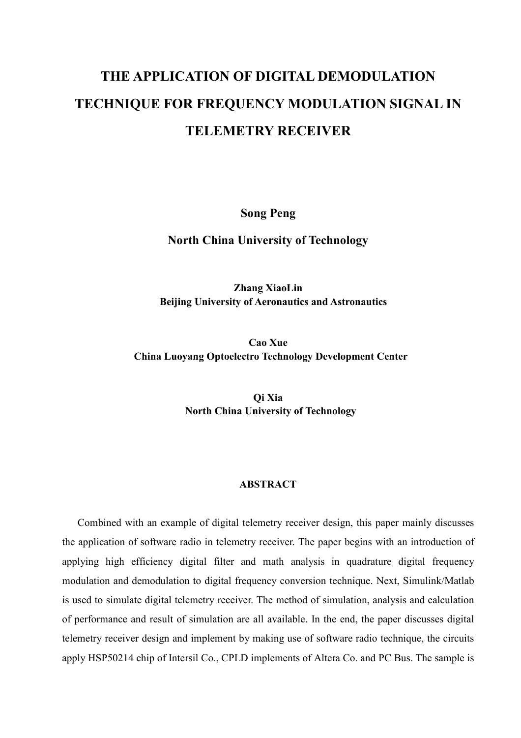# THE APPLICATION OF DIGITAL DEMODULATION TECHNIQUE FOR FREQUENCY MODULATION SIGNAL IN **TELEMETRY RECEIVER**

**Song Peng** 

**North China University of Technology** 

**Zhang XiaoLin Beijing University of Aeronautics and Astronautics** 

Cao Xue **China Luoyang Optoelectro Technology Development Center** 

> Oi Xia **North China University of Technology**

#### **ABSTRACT**

Combined with an example of digital telemetry receiver design, this paper mainly discusses the application of software radio in telemetry receiver. The paper begins with an introduction of applying high efficiency digital filter and math analysis in quadrature digital frequency modulation and demodulation to digital frequency conversion technique. Next, Simulink/Matlab is used to simulate digital telemetry receiver. The method of simulation, analysis and calculation of performance and result of simulation are all available. In the end, the paper discusses digital telemetry receiver design and implement by making use of software radio technique, the circuits apply HSP50214 chip of Intersil Co., CPLD implements of Altera Co. and PC Bus. The sample is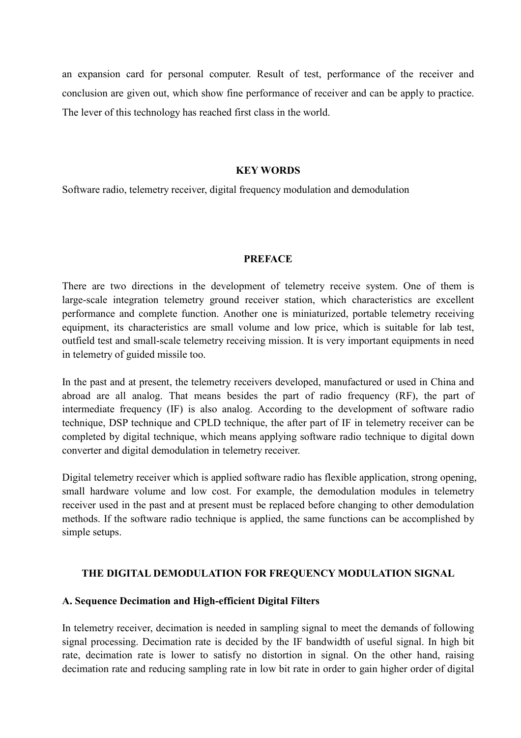an expansion card for personal computer. Result of test, performance of the receiver and conclusion are given out, which show fine performance of receiver and can be apply to practice. The lever of this technology has reached first class in the world.

#### **KEY WORDS**

Software radio, telemetry receiver, digital frequency modulation and demodulation

#### **PREFACE**

There are two directions in the development of telemetry receive system. One of them is large-scale integration telemetry ground receiver station, which characteristics are excellent performance and complete function. Another one is miniaturized, portable telemetry receiving equipment, its characteristics are small volume and low price, which is suitable for lab test, outfield test and small-scale telemetry receiving mission. It is very important equipments in need in telemetry of guided missile too.

In the past and at present, the telemetry receivers developed, manufactured or used in China and abroad are all analog. That means besides the part of radio frequency (RF), the part of intermediate frequency (IF) is also analog. According to the development of software radio technique, DSP technique and CPLD technique, the after part of IF in telemetry receiver can be completed by digital technique, which means applying software radio technique to digital down converter and digital demodulation in telemetry receiver.

Digital telemetry receiver which is applied software radio has flexible application, strong opening, small hardware volume and low cost. For example, the demodulation modules in telemetry receiver used in the past and at present must be replaced before changing to other demodulation methods. If the software radio technique is applied, the same functions can be accomplished by simple setups.

#### THE DIGITAL DEMODULATION FOR FREQUENCY MODULATION SIGNAL

#### A. Sequence Decimation and High-efficient Digital Filters

In telemetry receiver, decimation is needed in sampling signal to meet the demands of following signal processing. Decimation rate is decided by the IF bandwidth of useful signal. In high bit rate, decimation rate is lower to satisfy no distortion in signal. On the other hand, raising decimation rate and reducing sampling rate in low bit rate in order to gain higher order of digital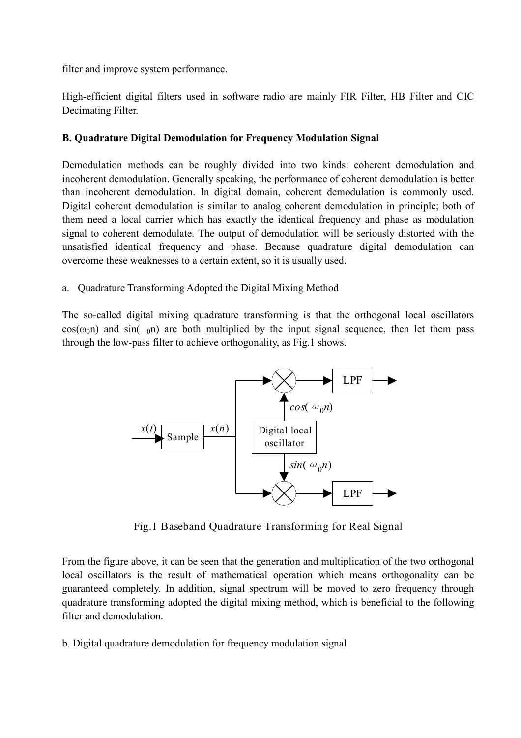filter and improve system performance.

High-efficient digital filters used in software radio are mainly FIR Filter, HB Filter and CIC Decimating Filter.

# **B. Quadrature Digital Demodulation for Frequency Modulation Signal**

Demodulation methods can be roughly divided into two kinds: coherent demodulation and incoherent demodulation. Generally speaking, the performance of coherent demodulation is better than incoherent demodulation. In digital domain, coherent demodulation is commonly used. Digital coherent demodulation is similar to analog coherent demodulation in principle; both of them need a local carrier which has exactly the identical frequency and phase as modulation signal to coherent demodulate. The output of demodulation will be seriously distorted with the unsatisfied identical frequency and phase. Because quadrature digital demodulation can overcome these weaknesses to a certain extent, so it is usually used.

# a. Ouadrature Transforming Adopted the Digital Mixing Method

The so-called digital mixing quadrature transforming is that the orthogonal local oscillators  $cos(\omega_0 n)$  and  $sin(\omega_0 n)$  are both multiplied by the input signal sequence, then let them pass through the low-pass filter to achieve orthogonality, as Fig.1 shows.



Fig.1 Baseband Quadrature Transforming for Real Signal

From the figure above, it can be seen that the generation and multiplication of the two orthogonal local oscillators is the result of mathematical operation which means orthogonality can be guaranteed completely. In addition, signal spectrum will be moved to zero frequency through quadrature transforming adopted the digital mixing method, which is beneficial to the following filter and demodulation.

b. Digital quadrature demodulation for frequency modulation signal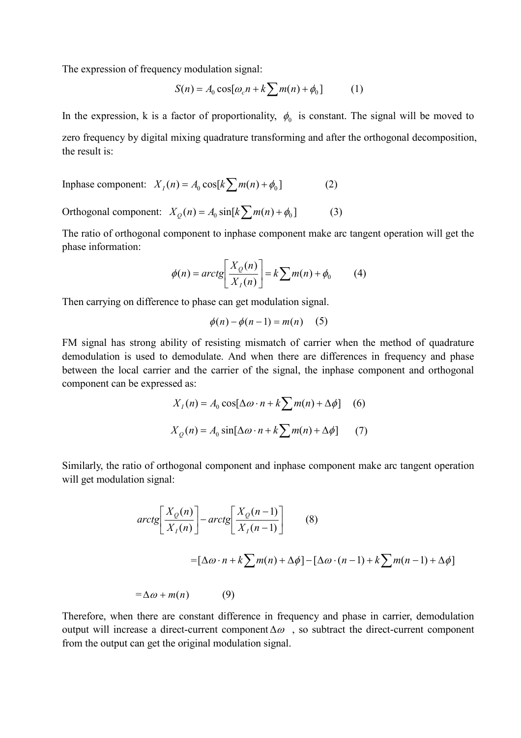The expression of frequency modulation signal:

$$
S(n) = A_0 \cos[\omega_c n + k \sum m(n) + \phi_0]
$$
 (1)

In the expression, k is a factor of proportionality,  $\phi_0$  is constant. The signal will be moved to zero frequency by digital mixing quadrature transforming and after the orthogonal decomposition, the result is:

$$
In phase component: XI(n) = A0 cos[k\sum m(n) + \phi0]
$$
 (2)

Orthogonal component:  $X_o(n) = A_o \sin[k \sum m(n) + \phi_0]$  $(3)$ 

The ratio of orthogonal component to inphase component make arc tangent operation will get the phase information:

$$
\phi(n) = \arctg\left[\frac{X_Q(n)}{X_I(n)}\right] = k \sum m(n) + \phi_0 \tag{4}
$$

Then carrying on difference to phase can get modulation signal.

$$
\phi(n) - \phi(n-1) = m(n) \quad (5)
$$

FM signal has strong ability of resisting mismatch of carrier when the method of quadrature demodulation is used to demodulate. And when there are differences in frequency and phase between the local carrier and the carrier of the signal, the inphase component and orthogonal component can be expressed as:

$$
X_1(n) = A_0 \cos[\Delta \omega \cdot n + k \sum m(n) + \Delta \phi]
$$
 (6)  

$$
X_Q(n) = A_0 \sin[\Delta \omega \cdot n + k \sum m(n) + \Delta \phi]
$$
 (7)

Similarly, the ratio of orthogonal component and inphase component make arc tangent operation will get modulation signal:

$$
arctg\left[\frac{X_Q(n)}{X_I(n)}\right] - arctg\left[\frac{X_Q(n-1)}{X_I(n-1)}\right]
$$
(8)  
=\left[\Delta\omega \cdot n + k\sum m(n) + \Delta\phi\right] - \left[\Delta\omega \cdot (n-1) + k\sum m(n-1) + \Delta\phi\right]  
=\Delta\omega + m(n) (9)

Therefore, when there are constant difference in frequency and phase in carrier, demodulation output will increase a direct-current component  $\Delta \omega$ , so subtract the direct-current component from the output can get the original modulation signal.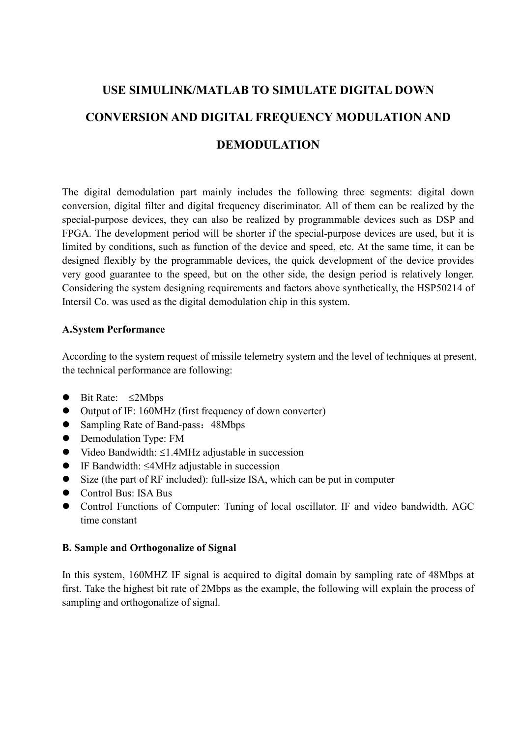# USE SIMULINK/MATLAB TO SIMULATE DIGITAL DOWN CONVERSION AND DIGITAL FREQUENCY MODULATION AND **DEMODULATION**

The digital demodulation part mainly includes the following three segments: digital down conversion, digital filter and digital frequency discriminator. All of them can be realized by the special-purpose devices, they can also be realized by programmable devices such as DSP and FPGA. The development period will be shorter if the special-purpose devices are used, but it is limited by conditions, such as function of the device and speed, etc. At the same time, it can be designed flexibly by the programmable devices, the quick development of the device provides very good guarantee to the speed, but on the other side, the design period is relatively longer. Considering the system designing requirements and factors above synthetically, the HSP50214 of Intersil Co. was used as the digital demodulation chip in this system.

## **A.System Performance**

According to the system request of missile telemetry system and the level of techniques at present, the technical performance are following:

- $\bullet$  Bit Rate:  $\leq$ 2Mbps
- $\bullet$  Output of IF: 160MHz (first frequency of down converter)
- Sampling Rate of Band-pass: 48Mbps
- Demodulation Type: FM
- $\bullet$  Video Bandwidth:  $\leq$ 1.4MHz adjustable in succession
- $\bullet$  IF Bandwidth:  $\leq$ 4MHz adjustable in succession
- Size (the part of RF included): full-size ISA, which can be put in computer
- $\bullet$  Control Bus: ISA Bus
- Control Functions of Computer: Tuning of local oscillator, IF and video bandwidth, AGC time constant

## **B. Sample and Orthogonalize of Signal**

In this system, 160MHZ IF signal is acquired to digital domain by sampling rate of 48Mbps at first. Take the highest bit rate of 2Mbps as the example, the following will explain the process of sampling and orthogonalize of signal.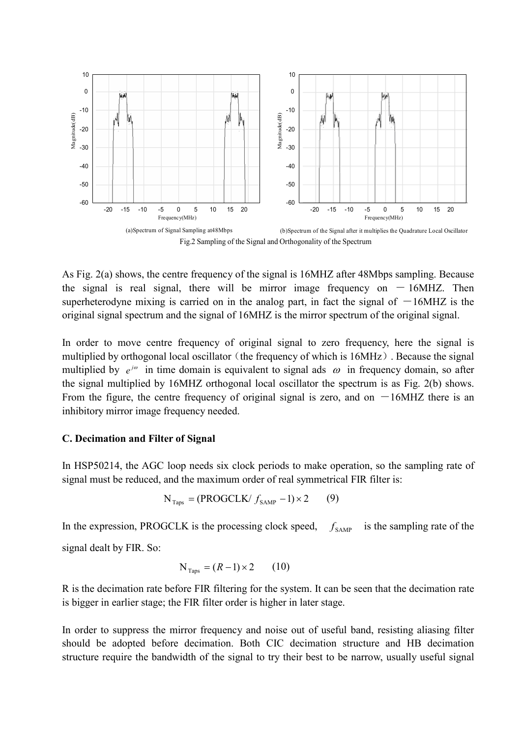

Fig.2 Sampling of the Signal and Orthogonality of the Spectrum

As Fig. 2(a) shows, the centre frequency of the signal is 16MHZ after 48Mbps sampling. Because the signal is real signal, there will be mirror image frequency on  $-16MHz$ . Then superheterodyne mixing is carried on in the analog part, in fact the signal of  $-16MHZ$  is the original signal spectrum and the signal of 16MHZ is the mirror spectrum of the original signal.

In order to move centre frequency of original signal to zero frequency, here the signal is multiplied by orthogonal local oscillator (the frequency of which is 16MHz). Because the signal multiplied by  $e^{j\omega}$  in time domain is equivalent to signal ads  $\omega$  in frequency domain, so after the signal multiplied by 16MHZ orthogonal local oscillator the spectrum is as Fig. 2(b) shows. From the figure, the centre frequency of original signal is zero, and on  $-16MHz$  there is an inhibitory mirror image frequency needed.

#### C. Decimation and Filter of Signal

In HSP50214, the AGC loop needs six clock periods to make operation, so the sampling rate of signal must be reduced, and the maximum order of real symmetrical FIR filter is:

$$
N_{Taps} = (PROGCLK / f_{SAMP} - 1) \times 2 \tag{9}
$$

In the expression, PROGCLK is the processing clock speed. is the sampling rate of the  $f_{\rm samp}$ signal dealt by FIR. So:

$$
N_{\text{Tans}} = (R-1) \times 2 \qquad (10)
$$

R is the decimation rate before FIR filtering for the system. It can be seen that the decimation rate is bigger in earlier stage; the FIR filter order is higher in later stage.

In order to suppress the mirror frequency and noise out of useful band, resisting aliasing filter should be adopted before decimation. Both CIC decimation structure and HB decimation structure require the bandwidth of the signal to try their best to be narrow, usually useful signal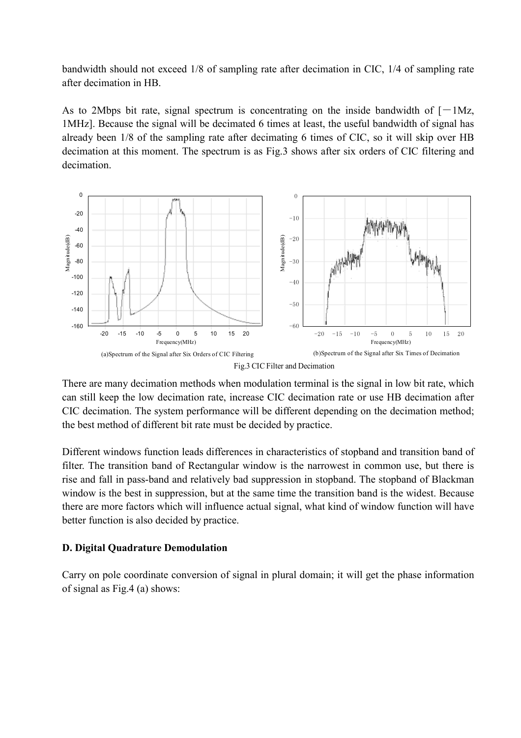bandwidth should not exceed 1/8 of sampling rate after decimation in CIC, 1/4 of sampling rate after decimation in HB.

As to 2Mbps bit rate, signal spectrum is concentrating on the inside bandwidth of  $[-1Mz,$ 1MHz]. Because the signal will be decimated 6 times at least, the useful bandwidth of signal has already been 1/8 of the sampling rate after decimating 6 times of CIC, so it will skip over HB decimation at this moment. The spectrum is as Fig.3 shows after six orders of CIC filtering and decimation.



There are many decimation methods when modulation terminal is the signal in low bit rate, which can still keep the low decimation rate, increase CIC decimation rate or use HB decimation after CIC decimation. The system performance will be different depending on the decimation method; the best method of different bit rate must be decided by practice.

Different windows function leads differences in characteristics of stopband and transition band of filter. The transition band of Rectangular window is the narrowest in common use, but there is rise and fall in pass-band and relatively bad suppression in stopband. The stopband of Blackman window is the best in suppression, but at the same time the transition band is the widest. Because there are more factors which will influence actual signal, what kind of window function will have better function is also decided by practice.

## **D. Digital Quadrature Demodulation**

Carry on pole coordinate conversion of signal in plural domain; it will get the phase information of signal as Fig. 4 (a) shows: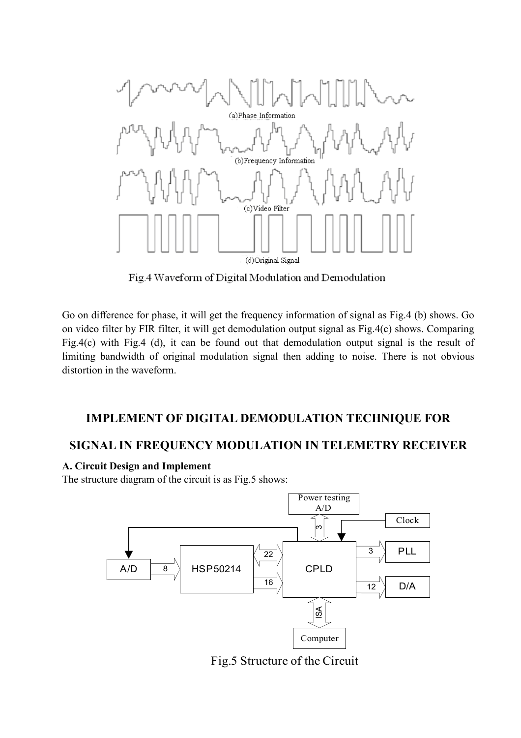

Fig.4 Waveform of Digital Modulation and Demodulation

Go on difference for phase, it will get the frequency information of signal as Fig.4 (b) shows. Go on video filter by FIR filter, it will get demodulation output signal as Fig.4(c) shows. Comparing Fig.4(c) with Fig.4 (d), it can be found out that demodulation output signal is the result of limiting bandwidth of original modulation signal then adding to noise. There is not obvious distortion in the waveform.

# **IMPLEMENT OF DIGITAL DEMODULATION TECHNIQUE FOR**

# SIGNAL IN FREQUENCY MODULATION IN TELEMETRY RECEIVER

# A. Circuit Design and Implement

The structure diagram of the circuit is as Fig.5 shows:



Fig.5 Structure of the Circuit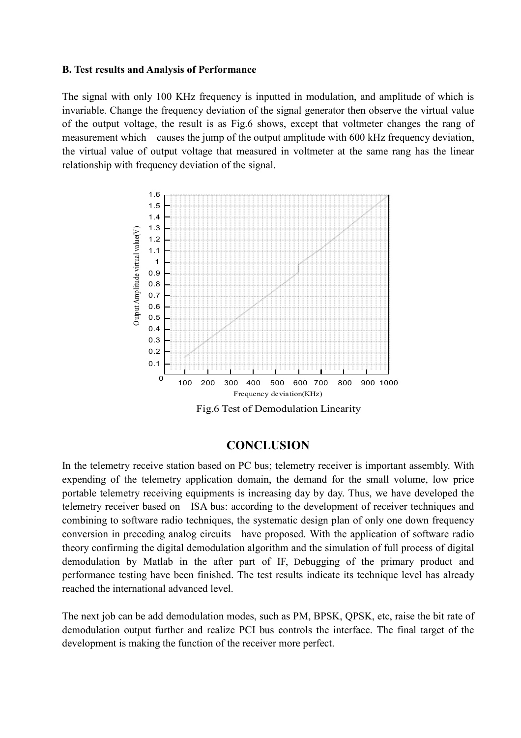#### **B.** Test results and Analysis of Performance

The signal with only 100 KHz frequency is inputted in modulation, and amplitude of which is invariable. Change the frequency deviation of the signal generator then observe the virtual value of the output voltage, the result is as Fig.6 shows, except that voltmeter changes the rang of measurement which causes the jump of the output amplitude with 600 kHz frequency deviation, the virtual value of output voltage that measured in voltmeter at the same rang has the linear relationship with frequency deviation of the signal.



# **CONCLUSION**

In the telemetry receive station based on PC bus; telemetry receiver is important assembly. With expending of the telemetry application domain, the demand for the small volume, low price portable telemetry receiving equipments is increasing day by day. Thus, we have developed the telemetry receiver based on ISA bus: according to the development of receiver techniques and combining to software radio techniques, the systematic design plan of only one down frequency conversion in preceding analog circuits have proposed. With the application of software radio theory confirming the digital demodulation algorithm and the simulation of full process of digital demodulation by Matlab in the after part of IF, Debugging of the primary product and performance testing have been finished. The test results indicate its technique level has already reached the international advanced level.

The next job can be add demodulation modes, such as PM, BPSK, QPSK, etc, raise the bit rate of demodulation output further and realize PCI bus controls the interface. The final target of the development is making the function of the receiver more perfect.